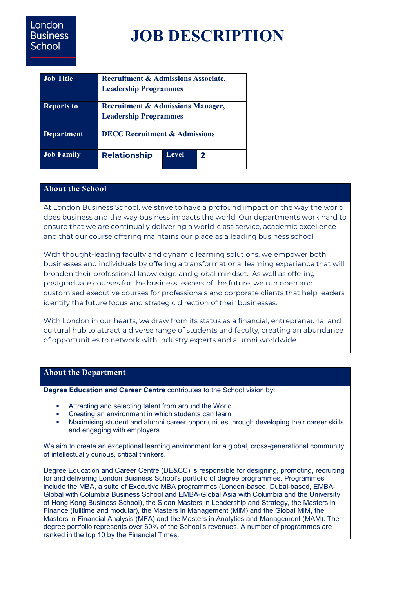# **JOB DESCRIPTION**

| <b>Job Title</b>  | <b>Recruitment &amp; Admissions Associate,</b><br><b>Leadership Programmes</b> |       |              |
|-------------------|--------------------------------------------------------------------------------|-------|--------------|
| <b>Reports to</b> | <b>Recruitment &amp; Admissions Manager,</b><br><b>Leadership Programmes</b>   |       |              |
| <b>Department</b> | <b>DECC Recruitment &amp; Admissions</b>                                       |       |              |
| <b>Job Family</b> | <b>Relationship</b>                                                            | Level | $\mathbf{z}$ |

## **About the School**

At London Business School, we strive to have a profound impact on the way the world does business and the way business impacts the world. Our departments work hard to ensure that we are continually delivering a world-class service, academic excellence and that our course offering maintains our place as a leading business school.

With thought-leading faculty and dynamic learning solutions, we empower both businesses and individuals by offering a transformational learning experience that will broaden their professional knowledge and global mindset. As well as offering postgraduate courses for the business leaders of the future, we run open and customised executive courses for professionals and corporate clients that help leaders identify the future focus and strategic direction of their businesses.

With London in our hearts, we draw from its status as a financial, entrepreneurial and cultural hub to attract a diverse range of students and faculty, creating an abundance of opportunities to network with industry experts and alumni worldwide.

#### **About the Department**

**Degree Education and Career Centre** contributes to the School vision by:

- Attracting and selecting talent from around the World
- Creating an environment in which students can learn
- Maximising student and alumni career opportunities through developing their career skills and engaging with employers.

We aim to create an exceptional learning environment for a global, cross-generational community of intellectually curious, critical thinkers.

Degree Education and Career Centre (DE&CC) is responsible for designing, promoting, recruiting for and delivering London Business School's portfolio of degree programmes. Programmes include the MBA, a suite of Executive MBA programmes (London-based, Dubai-based, EMBA-Global with Columbia Business School and EMBA-Global Asia with Columbia and the University of Hong Kong Business School), the Sloan Masters in Leadership and Strategy, the Masters in Finance (fulltime and modular), the Masters in Management (MiM) and the Global MiM, the Masters in Financial Analysis (MFA) and the Masters in Analytics and Management (MAM). The degree portfolio represents over 60% of the School's revenues. A number of programmes are ranked in the top 10 by the Financial Times.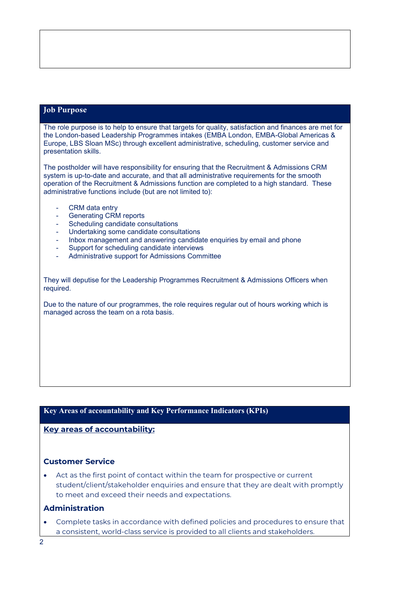#### **Job Purpose**

The role purpose is to help to ensure that targets for quality, satisfaction and finances are met for the London-based Leadership Programmes intakes (EMBA London, EMBA-Global Americas & Europe, LBS Sloan MSc) through excellent administrative, scheduling, customer service and presentation skills.

The postholder will have responsibility for ensuring that the Recruitment & Admissions CRM system is up-to-date and accurate, and that all administrative requirements for the smooth operation of the Recruitment & Admissions function are completed to a high standard. These administrative functions include (but are not limited to):

- CRM data entry
- Generating CRM reports
- Scheduling candidate consultations
- Undertaking some candidate consultations
- Inbox management and answering candidate enquiries by email and phone
- Support for scheduling candidate interviews
- Administrative support for Admissions Committee

They will deputise for the Leadership Programmes Recruitment & Admissions Officers when required.

Due to the nature of our programmes, the role requires regular out of hours working which is managed across the team on a rota basis.

#### **Key Areas of accountability and Key Performance Indicators (KPIs)**

**Key areas of accountability:**

#### **Customer Service**

• Act as the first point of contact within the team for prospective or current student/client/stakeholder enquiries and ensure that they are dealt with promptly to meet and exceed their needs and expectations.

#### **Administration**

• Complete tasks in accordance with defined policies and procedures to ensure that a consistent, world-class service is provided to all clients and stakeholders.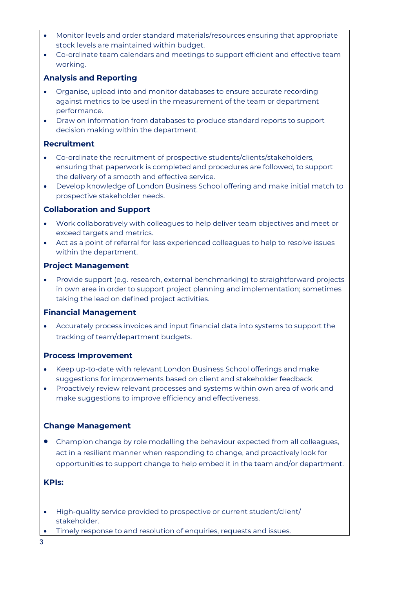- Monitor levels and order standard materials/resources ensuring that appropriate stock levels are maintained within budget.
- Co-ordinate team calendars and meetings to support efficient and effective team working.

## **Analysis and Reporting**

- Organise, upload into and monitor databases to ensure accurate recording against metrics to be used in the measurement of the team or department performance.
- Draw on information from databases to produce standard reports to support decision making within the department.

#### **Recruitment**

- Co-ordinate the recruitment of prospective students/clients/stakeholders, ensuring that paperwork is completed and procedures are followed, to support the delivery of a smooth and effective service.
- Develop knowledge of London Business School offering and make initial match to prospective stakeholder needs.

#### **Collaboration and Support**

- Work collaboratively with colleagues to help deliver team objectives and meet or exceed targets and metrics.
- Act as a point of referral for less experienced colleagues to help to resolve issues within the department.

#### **Project Management**

• Provide support (e.g. research, external benchmarking) to straightforward projects in own area in order to support project planning and implementation; sometimes taking the lead on defined project activities.

#### **Financial Management**

• Accurately process invoices and input financial data into systems to support the tracking of team/department budgets.

#### **Process Improvement**

- Keep up-to-date with relevant London Business School offerings and make suggestions for improvements based on client and stakeholder feedback.
- Proactively review relevant processes and systems within own area of work and make suggestions to improve efficiency and effectiveness.

# **Change Management**

• Champion change by role modelling the behaviour expected from all colleagues, act in a resilient manner when responding to change, and proactively look for opportunities to support change to help embed it in the team and/or department.

#### **KPIs:**

- High-quality service provided to prospective or current student/client/ stakeholder.
- Timely response to and resolution of enquiries, requests and issues.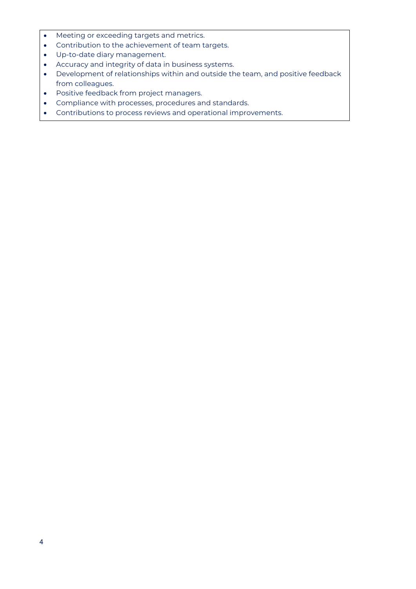- Meeting or exceeding targets and metrics.
- Contribution to the achievement of team targets.
- Up-to-date diary management.
- Accuracy and integrity of data in business systems.
- Development of relationships within and outside the team, and positive feedback from colleagues.
- Positive feedback from project managers.
- Compliance with processes, procedures and standards.
- Contributions to process reviews and operational improvements.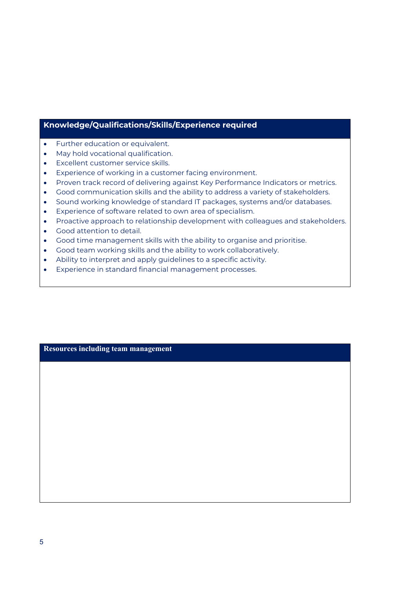# **Knowledge/Qualifications/Skills/Experience required**

- Further education or equivalent.
- May hold vocational qualification.
- Excellent customer service skills.
- Experience of working in a customer facing environment.
- Proven track record of delivering against Key Performance Indicators or metrics.
- Good communication skills and the ability to address a variety of stakeholders.
- Sound working knowledge of standard IT packages, systems and/or databases.
- Experience of software related to own area of specialism.
- Proactive approach to relationship development with colleagues and stakeholders.
- Good attention to detail.
- Good time management skills with the ability to organise and prioritise.
- Good team working skills and the ability to work collaboratively.
- Ability to interpret and apply guidelines to a specific activity.
- Experience in standard financial management processes.

**Resources including team management**